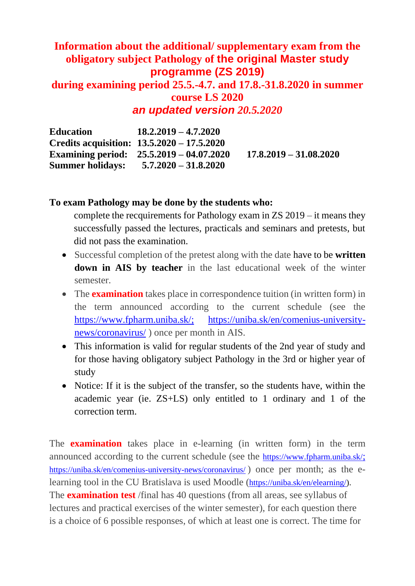## **Information about the additional/ supplementary exam from the obligatory subject Pathology of the original Master study programme (ZS 2019) during examining period 25.5.-4.7. and 17.8.-31.8.2020 in summer course LS 2020**

*an updated version 20.5.2020*

| <b>Education</b>        | $18.2.2019 - 4.7.2020$                       |                          |
|-------------------------|----------------------------------------------|--------------------------|
|                         | Credits acquisition: $13.5.2020 - 17.5.2020$ |                          |
|                         | Examining period: $25.5.2019 - 04.07.2020$   | $17.8.2019 - 31.08.2020$ |
| <b>Summer holidays:</b> | $5.7.2020 - 31.8.2020$                       |                          |

## **To exam Pathology may be done by the students who:**

complete the recquirements for Pathology exam in ZS 2019 – it means they successfully passed the lectures, practicals and seminars and pretests, but did not pass the examination.

- Successful completion of the pretest along with the date have to be **written down in AIS by teacher** in the last educational week of the winter semester.
- The **examination** takes place in correspondence tuition (in written form) in the term announced according to the current schedule (see the [https://www.fpharm.uniba.sk/;](https://www.fpharm.uniba.sk/) [https://uniba.sk/en/comenius-university](https://uniba.sk/en/comenius-university-news/coronavirus/)[news/coronavirus/](https://uniba.sk/en/comenius-university-news/coronavirus/) ) once per month in AIS.
- This information is valid for regular students of the 2nd year of study and for those having obligatory subject Pathology in the 3rd or higher year of study
- Notice: If it is the subject of the transfer, so the students have, within the academic year (ie. ZS+LS) only entitled to 1 ordinary and 1 of the correction term.

The **examination** takes place in e-learning (in written form) in the term announced according to the current schedule (see the <https://www.fpharm.uniba.sk/>; <https://uniba.sk/en/comenius-university-news/coronavirus/> ) once per month; as the elearning tool in the CU Bratislava is used Moodle ([https://uniba.sk/en/elearning/\)](https://uniba.sk/en/elearning/). The **examination test** /final has 40 questions (from all areas, see syllabus of lectures and practical exercises of the winter semester), for each question there is a choice of 6 possible responses, of which at least one is correct. The time for